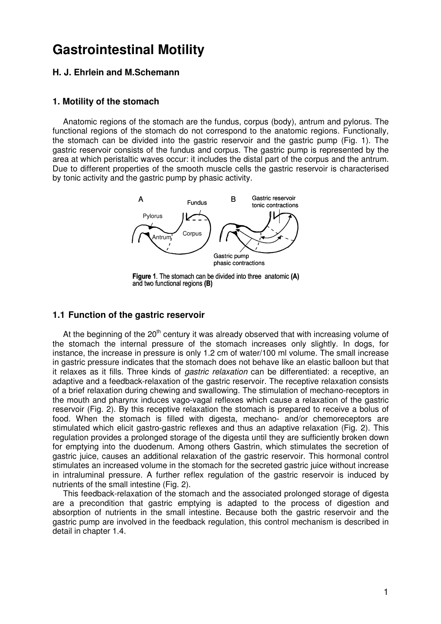# **Gastrointestinal Motility**

# **H. J. Ehrlein and M.Schemann**

### **1. Motility of the stomach**

Anatomic regions of the stomach are the fundus, corpus (body), antrum and pylorus. The functional regions of the stomach do not correspond to the anatomic regions. Functionally, the stomach can be divided into the gastric reservoir and the gastric pump (Fig. 1). The gastric reservoir consists of the fundus and corpus. The gastric pump is represented by the area at which peristaltic waves occur: it includes the distal part of the corpus and the antrum. Due to different properties of the smooth muscle cells the gastric reservoir is characterised by tonic activity and the gastric pump by phasic activity.



Figure 1. The stomach can be divided into three anatomic (A) and two functional regions (B)

### **1.1 Function of the gastric reservoir**

At the beginning of the  $20<sup>th</sup>$  century it was already observed that with increasing volume of the stomach the internal pressure of the stomach increases only slightly. In dogs, for instance, the increase in pressure is only 1.2 cm of water/100 ml volume. The small increase in gastric pressure indicates that the stomach does not behave like an elastic balloon but that it relaxes as it fills. Three kinds of *gastric relaxation* can be differentiated: a receptive, an adaptive and a feedback-relaxation of the gastric reservoir. The receptive relaxation consists of a brief relaxation during chewing and swallowing. The stimulation of mechano-receptors in the mouth and pharynx induces vago-vagal reflexes which cause a relaxation of the gastric reservoir (Fig. 2). By this receptive relaxation the stomach is prepared to receive a bolus of food. When the stomach is filled with digesta, mechano- and/or chemoreceptors are stimulated which elicit gastro-gastric reflexes and thus an adaptive relaxation (Fig. 2). This regulation provides a prolonged storage of the digesta until they are sufficiently broken down for emptying into the duodenum. Among others Gastrin, which stimulates the secretion of gastric juice, causes an additional relaxation of the gastric reservoir. This hormonal control stimulates an increased volume in the stomach for the secreted gastric juice without increase in intraluminal pressure. A further reflex regulation of the gastric reservoir is induced by nutrients of the small intestine (Fig. 2).

This feedback-relaxation of the stomach and the associated prolonged storage of digesta are a precondition that gastric emptying is adapted to the process of digestion and absorption of nutrients in the small intestine. Because both the gastric reservoir and the gastric pump are involved in the feedback regulation, this control mechanism is described in detail in chapter 1.4.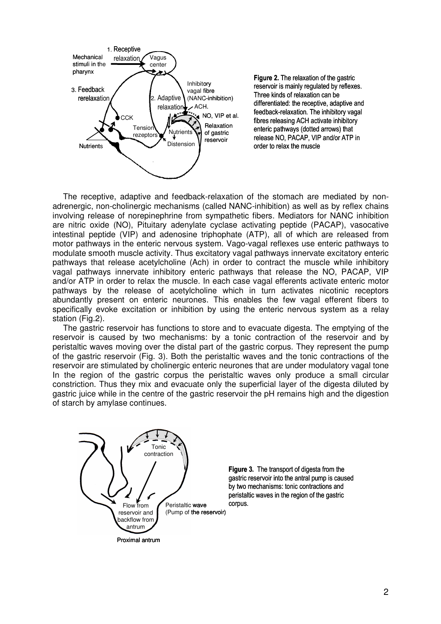

Figure 2. The relaxation of the gastric reservoir is mainly regulated by reflexes. Three kinds of relaxation can be differentiated: the receptive, adaptive and feedback-relaxation. The inhibitory vagal fibres releasing ACH activate inhibitory enteric pathways (dotted arrows) that release NO, PACAP, VIP and/or ATP in order to relax the muscle

The receptive, adaptive and feedback-relaxation of the stomach are mediated by nonadrenergic, non-cholinergic mechanisms (called NANC-inhibition) as well as by reflex chains involving release of norepinephrine from sympathetic fibers. Mediators for NANC inhibition are nitric oxide (NO), Pituitary adenylate cyclase activating peptide (PACAP), vasocative intestinal peptide (VIP) and adenosine triphophate (ATP), all of which are released from motor pathways in the enteric nervous system. Vago-vagal reflexes use enteric pathways to modulate smooth muscle activity. Thus excitatory vagal pathways innervate excitatory enteric pathways that release acetylcholine (Ach) in order to contract the muscle while inhibitory vagal pathways innervate inhibitory enteric pathways that release the NO, PACAP, VIP and/or ATP in order to relax the muscle. In each case vagal efferents activate enteric motor pathways by the release of acetylcholine which in turn activates nicotinic receptors abundantly present on enteric neurones. This enables the few vagal efferent fibers to specifically evoke excitation or inhibition by using the enteric nervous system as a relay station (Fig.2).

The gastric reservoir has functions to store and to evacuate digesta. The emptying of the reservoir is caused by two mechanisms: by a tonic contraction of the reservoir and by peristaltic waves moving over the distal part of the gastric corpus. They represent the pump of the gastric reservoir (Fig. 3). Both the peristaltic waves and the tonic contractions of the reservoir are stimulated by cholinergic enteric neurones that are under modulatory vagal tone In the region of the gastric corpus the peristaltic waves only produce a small circular constriction. Thus they mix and evacuate only the superficial layer of the digesta diluted by gastric juice while in the centre of the gastric reservoir the pH remains high and the digestion of starch by amylase continues.



Figure 3. The transport of digesta from the gastric reservoir into the antral pump is caused by two mechanisms: tonic contractions and peristaltic waves in the region of the gastric corpus.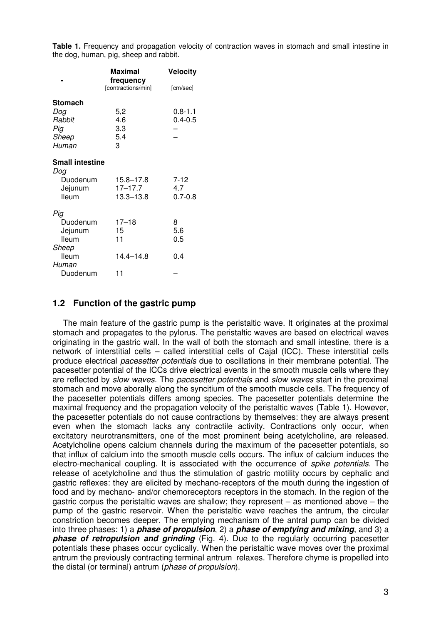**Table 1.** Frequency and propagation velocity of contraction waves in stomach and small intestine in the dog, human, pig, sheep and rabbit.

|                        | Maximal                         | <b>Velocity</b> |  |
|------------------------|---------------------------------|-----------------|--|
|                        | frequency<br>[contractions/min] | [cm/sec]        |  |
| Stomach                |                                 |                 |  |
| Dog                    | 5,2                             | $0.8 - 1.1$     |  |
| Rabbit                 | 4.6                             | $0.4 - 0.5$     |  |
| Pig                    | 3.3                             |                 |  |
| Sheep                  | 5.4                             |                 |  |
| Human                  | З                               |                 |  |
| <b>Small intestine</b> |                                 |                 |  |
| Dog                    |                                 |                 |  |
| Duodenum               | 15.8–17.8                       | $7 - 12$        |  |
| Jejunum                | $17 - 17.7$                     | 4.7             |  |
| lleum                  | $13.3 - 13.8$                   | $0.7 - 0.8$     |  |
| Pig                    |                                 |                 |  |
| Duodenum               | $17 - 18$                       | 8               |  |
| Jejunum                | 15                              | 5.6             |  |
| lleum                  | 11                              | 0.5             |  |
| Sheep                  |                                 |                 |  |
| lleum                  | 14.4–14.8                       | 0.4             |  |
| Human                  |                                 |                 |  |
| Duodenum               | 11                              |                 |  |

# **1.2 Function of the gastric pump**

The main feature of the gastric pump is the peristaltic wave. It originates at the proximal stomach and propagates to the pylorus. The peristaltic waves are based on electrical waves originating in the gastric wall. In the wall of both the stomach and small intestine, there is a network of interstitial cells – called interstitial cells of Cajal (ICC). These interstitial cells produce electrical pacesetter potentials due to oscillations in their membrane potential. The pacesetter potential of the ICCs drive electrical events in the smooth muscle cells where they are reflected by *slow waves*. The *pacesetter potentials* and *slow waves* start in the proximal stomach and move aborally along the syncitium of the smooth muscle cells. The frequency of the pacesetter potentials differs among species. The pacesetter potentials determine the maximal frequency and the propagation velocity of the peristaltic waves (Table 1). However, the pacesetter potentials do not cause contractions by themselves: they are always present even when the stomach lacks any contractile activity. Contractions only occur, when excitatory neurotransmitters, one of the most prominent being acetylcholine, are released. Acetylcholine opens calcium channels during the maximum of the pacesetter potentials, so that influx of calcium into the smooth muscle cells occurs. The influx of calcium induces the electro-mechanical coupling. It is associated with the occurrence of *spike potentials*. The release of acetylcholine and thus the stimulation of gastric motility occurs by cephalic and gastric reflexes: they are elicited by mechano-receptors of the mouth during the ingestion of food and by mechano- and/or chemoreceptors receptors in the stomach. In the region of the gastric corpus the peristaltic waves are shallow; they represent  $-$  as mentioned above  $-$  the pump of the gastric reservoir. When the peristaltic wave reaches the antrum, the circular constriction becomes deeper. The emptying mechanism of the antral pump can be divided into three phases: 1) a **phase of propulsion**, 2) a **phase of emptying and mixing**, and 3) a **phase of retropulsion and grinding** (Fig. 4). Due to the regularly occurring pacesetter potentials these phases occur cyclically. When the peristaltic wave moves over the proximal antrum the previously contracting terminal antrum relaxes. Therefore chyme is propelled into the distal (or terminal) antrum (phase of propulsion).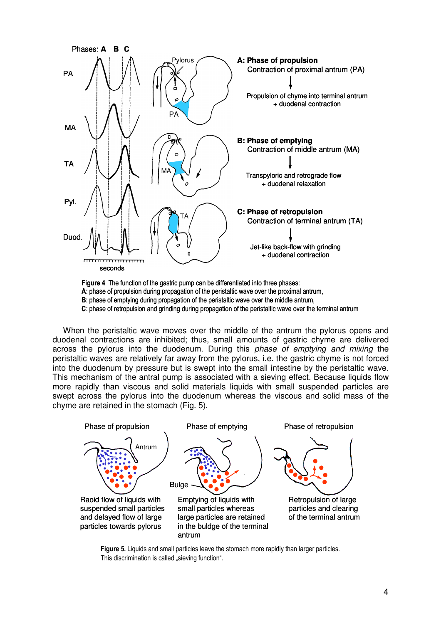

Figure 4 The function of the gastric pump can be differentiated into three phases:

A: phase of propulsion during propagation of the peristaltic wave over the proximal antrum,

B: phase of emptying during propagation of the peristaltic wave over the middle antrum,

C: phase of retropulsion and grinding during propagation of the peristaltic wave over the terminal antrum

When the peristaltic wave moves over the middle of the antrum the pylorus opens and duodenal contractions are inhibited; thus, small amounts of gastric chyme are delivered across the pylorus into the duodenum. During this phase of emptying and mixing the peristaltic waves are relatively far away from the pylorus, i.e. the gastric chyme is not forced into the duodenum by pressure but is swept into the small intestine by the peristaltic wave. This mechanism of the antral pump is associated with a sieving effect. Because liquids flow more rapidly than viscous and solid materials liquids with small suspended particles are swept across the pylorus into the duodenum whereas the viscous and solid mass of the chyme are retained in the stomach (Fig. 5).



Figure 5. Liquids and small particles leave the stomach more rapidly than larger particles. This discrimination is called "sieving function".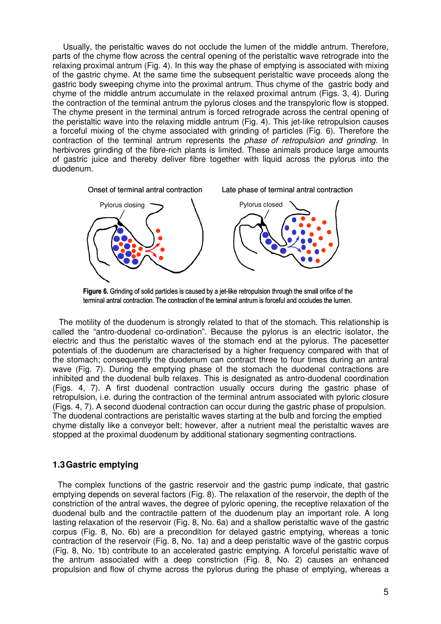Usually, the peristaltic waves do not occlude the lumen of the middle antrum. Therefore, parts of the chyme flow across the central opening of the peristaltic wave retrograde into the relaxing proximal antrum (Fig. 4). In this way the phase of emptying is associated with mixing of the gastric chyme. At the same time the subsequent peristaltic wave proceeds along the gastric body sweeping chyme into the proximal antrum. Thus chyme of the gastric body and chyme of the middle antrum accumulate in the relaxed proximal antrum (Figs. 3, 4). During the contraction of the terminal antrum the pylorus closes and the transpyloric flow is stopped. The chyme present in the terminal antrum is forced retrograde across the central opening of the peristaltic wave into the relaxing middle antrum (Fig. 4). This jet-like retropulsion causes a forceful mixing of the chyme associated with grinding of particles (Fig. 6). Therefore the contraction of the terminal antrum represents the phase of retropulsion and grinding. In herbivores grinding of the fibre-rich plants is limited. These animals produce large amounts of gastric juice and thereby deliver fibre together with liquid across the pylorus into the duodenum.



Figure 6. Grinding of solid particles is caused by a jet-like retropulsion through the small orifice of the terminal antral contraction. The contraction of the terminal antrum is forceful and occludes the lumen.

The motility of the duodenum is strongly related to that of the stomach. This relationship is called the "antro-duodenal co-ordination". Because the pylorus is an electric isolator, the electric and thus the peristaltic waves of the stomach end at the pylorus. The pacesetter potentials of the duodenum are characterised by a higher frequency compared with that of the stomach; consequently the duodenum can contract three to four times during an antral wave (Fig. 7). During the emptying phase of the stomach the duodenal contractions are inhibited and the duodenal bulb relaxes. This is designated as antro-duodenal coordination (Figs. 4, 7). A first duodenal contraction usually occurs during the gastric phase of retropulsion, i.e. during the contraction of the terminal antrum associated with pyloric closure (Figs. 4, 7). A second duodenal contraction can occur during the gastric phase of propulsion. The duodenal contractions are peristaltic waves starting at the bulb and forcing the emptied chyme distally like a conveyor belt; however, after a nutrient meal the peristaltic waves are stopped at the proximal duodenum by additional stationary segmenting contractions.

# **1.3 Gastric emptying**

The complex functions of the gastric reservoir and the gastric pump indicate, that gastric emptying depends on several factors (Fig. 8). The relaxation of the reservoir, the depth of the constriction of the antral waves, the degree of pyloric opening, the receptive relaxation of the duodenal bulb and the contractile pattern of the duodenum play an important role. A long lasting relaxation of the reservoir (Fig. 8, No. 6a) and a shallow peristaltic wave of the gastric corpus (Fig. 8, No. 6b) are a precondition for delayed gastric emptying, whereas a tonic contraction of the reservoir (Fig. 8, No. 1a) and a deep peristaltic wave of the gastric corpus (Fig. 8, No. 1b) contribute to an accelerated gastric emptying. A forceful peristaltic wave of the antrum associated with a deep constriction (Fig. 8, No. 2) causes an enhanced propulsion and flow of chyme across the pylorus during the phase of emptying, whereas a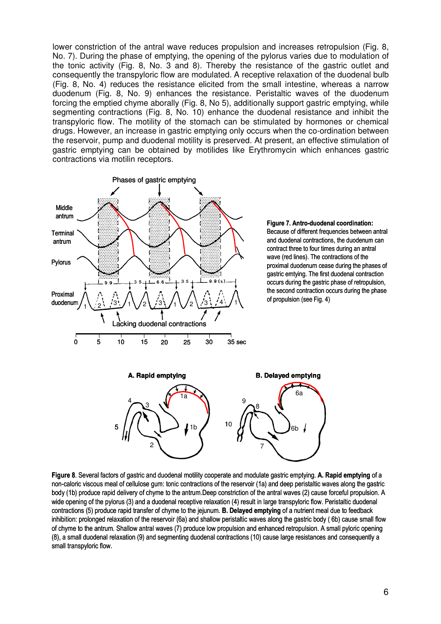lower constriction of the antral wave reduces propulsion and increases retropulsion (Fig. 8, No. 7). During the phase of emptying, the opening of the pylorus varies due to modulation of the tonic activity (Fig. 8, No. 3 and 8). Thereby the resistance of the gastric outlet and consequently the transpyloric flow are modulated. A receptive relaxation of the duodenal bulb (Fig. 8, No. 4) reduces the resistance elicited from the small intestine, whereas a narrow duodenum (Fig. 8, No. 9) enhances the resistance. Peristaltic waves of the duodenum forcing the emptied chyme aborally (Fig. 8, No 5), additionally support gastric emptying, while segmenting contractions (Fig. 8, No. 10) enhance the duodenal resistance and inhibit the transpyloric flow. The motility of the stomach can be stimulated by hormones or chemical drugs. However, an increase in gastric emptying only occurs when the co-ordination between the reservoir, pump and duodenal motility is preserved. At present, an effective stimulation of gastric emptying can be obtained by motilides like Erythromycin which enhances gastric contractions via motilin receptors.



Figure 7. Antro-duodenal coordination: Because of different frequencies between antral and duodenal contractions, the duodenum can contract three to four times during an antral wave (red lines). The contractions of the proximal duodenum cease during the phases of gastric emtying. The first duodenal contraction occurs during the gastric phase of retropulsion, the second contraction occurs during the phase of propulsion (see Fig. 4)



Figure 8. Several factors of gastric and duodenal motility cooperate and modulate gastric emptying. A. Rapid emptying of a non-caloric viscous meal of cellulose gum: tonic contractions of the reservoir (1a) and deep peristaltic waves along the gastric body (1b) produce rapid delivery of chyme to the antrum.Deep constriction of the antral waves (2) cause forceful propulsion. A wide opening of the pylorus (3) and a duodenal receptive relaxation (4) result in large transpyloric flow. Peristaltic duodenal contractions (5) produce rapid transfer of chyme to the jejunum. B. Delayed emptying of a nutrient meal due to feedback inhibition: prolonged relaxation of the reservoir (6a) and shallow peristaltic waves along the gastric body ( 6b) cause small flow of chyme to the antrum. Shallow antral waves (7) produce low propulsion and enhanced retropulsion. A small pyloric opening (8), a small duodenal relaxation (9) and segmenting duodenal contractions (10) cause large resistances and consequently a small transpyloric flow.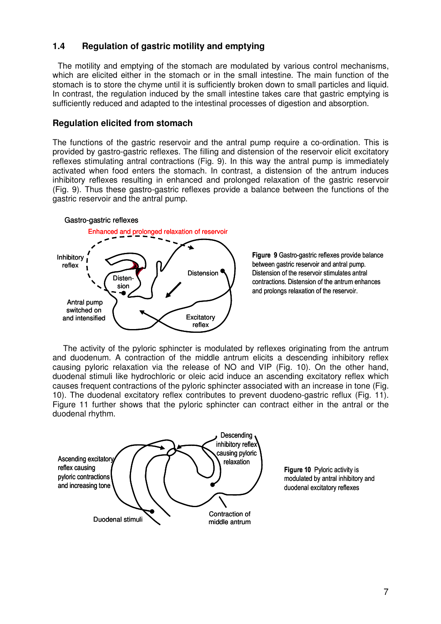# **1.4 Regulation of gastric motility and emptying**

The motility and emptying of the stomach are modulated by various control mechanisms, which are elicited either in the stomach or in the small intestine. The main function of the stomach is to store the chyme until it is sufficiently broken down to small particles and liquid. In contrast, the regulation induced by the small intestine takes care that gastric emptying is sufficiently reduced and adapted to the intestinal processes of digestion and absorption.

# **Regulation elicited from stomach**

The functions of the gastric reservoir and the antral pump require a co-ordination. This is provided by gastro-gastric reflexes. The filling and distension of the reservoir elicit excitatory reflexes stimulating antral contractions (Fig. 9). In this way the antral pump is immediately activated when food enters the stomach. In contrast, a distension of the antrum induces inhibitory reflexes resulting in enhanced and prolonged relaxation of the gastric reservoir (Fig. 9). Thus these gastro-gastric reflexes provide a balance between the functions of the gastric reservoir and the antral pump.



Figure 9 Gastro-gastric reflexes provide balance between gastric reservoir and antral pump. Distension of the reservoir stimulates antral contractions. Distension of the antrum enhances and prolongs relaxation of the reservoir.

The activity of the pyloric sphincter is modulated by reflexes originating from the antrum and duodenum. A contraction of the middle antrum elicits a descending inhibitory reflex causing pyloric relaxation via the release of NO and VIP (Fig. 10). On the other hand, duodenal stimuli like hydrochloric or oleic acid induce an ascending excitatory reflex which causes frequent contractions of the pyloric sphincter associated with an increase in tone (Fig. 10). The duodenal excitatory reflex contributes to prevent duodeno-gastric reflux (Fig. 11). Figure 11 further shows that the pyloric sphincter can contract either in the antral or the duodenal rhythm.



Figure 10 Pyloric activity is modulated by antral inhibitory and duodenal excitatory reflexes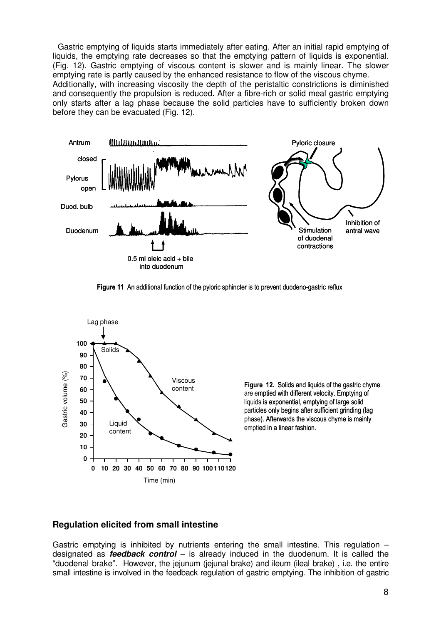Gastric emptying of liquids starts immediately after eating. After an initial rapid emptying of liquids, the emptying rate decreases so that the emptying pattern of liquids is exponential. (Fig. 12). Gastric emptying of viscous content is slower and is mainly linear. The slower emptying rate is partly caused by the enhanced resistance to flow of the viscous chyme. Additionally, with increasing viscosity the depth of the peristaltic constrictions is diminished and consequently the propulsion is reduced. After a fibre-rich or solid meal gastric emptying only starts after a lag phase because the solid particles have to sufficiently broken down before they can be evacuated (Fig. 12).



Figure 11 An additional function of the pyloric sphincter is to prevent duodeno-gastric reflux



Figure 12. Solids and liquids of the gastric chyme are emptied with different velocity. Emptying of liquids is exponential, emptying of large solid particles only begins after sufficient grinding (lag phase). Afterwards the viscous chyme is mainly emptied in a linear fashion.

# **Regulation elicited from small intestine**

Gastric emptying is inhibited by nutrients entering the small intestine. This regulation  $$ designated as **feedback control** – is already induced in the duodenum. It is called the "duodenal brake". However, the jejunum (jejunal brake) and ileum (ileal brake) , i.e. the entire small intestine is involved in the feedback regulation of gastric emptying. The inhibition of gastric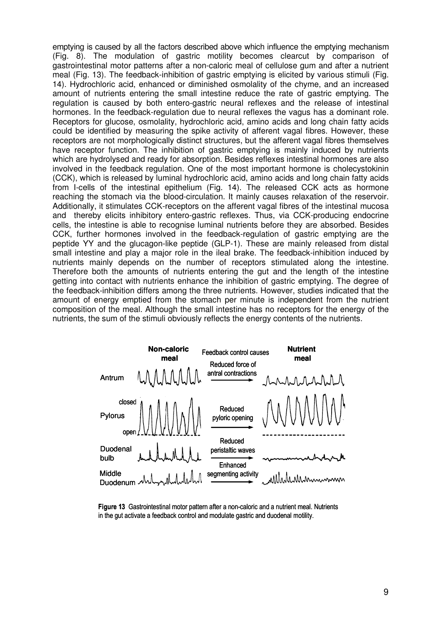emptying is caused by all the factors described above which influence the emptying mechanism (Fig. 8). The modulation of gastric motility becomes clearcut by comparison of gastrointestinal motor patterns after a non-caloric meal of cellulose gum and after a nutrient meal (Fig. 13). The feedback-inhibition of gastric emptying is elicited by various stimuli (Fig. 14). Hydrochloric acid, enhanced or diminished osmolality of the chyme, and an increased amount of nutrients entering the small intestine reduce the rate of gastric emptying. The regulation is caused by both entero-gastric neural reflexes and the release of intestinal hormones. In the feedback-regulation due to neural reflexes the vagus has a dominant role. Receptors for glucose, osmolality, hydrochloric acid, amino acids and long chain fatty acids could be identified by measuring the spike activity of afferent vagal fibres. However, these receptors are not morphologically distinct structures, but the afferent vagal fibres themselves have receptor function. The inhibition of gastric emptying is mainly induced by nutrients which are hydrolysed and ready for absorption. Besides reflexes intestinal hormones are also involved in the feedback regulation. One of the most important hormone is cholecystokinin (CCK), which is released by luminal hydrochloric acid, amino acids and long chain fatty acids from I-cells of the intestinal epithelium (Fig. 14). The released CCK acts as hormone reaching the stomach via the blood-circulation. It mainly causes relaxation of the reservoir. Additionally, it stimulates CCK-receptors on the afferent vagal fibres of the intestinal mucosa and thereby elicits inhibitory entero-gastric reflexes. Thus, via CCK-producing endocrine cells, the intestine is able to recognise luminal nutrients before they are absorbed. Besides CCK, further hormones involved in the feedback-regulation of gastric emptying are the peptide YY and the glucagon-like peptide (GLP-1). These are mainly released from distal small intestine and play a major role in the ileal brake. The feedback-inhibition induced by nutrients mainly depends on the number of receptors stimulated along the intestine. Therefore both the amounts of nutrients entering the gut and the length of the intestine getting into contact with nutrients enhance the inhibition of gastric emptying. The degree of the feedback-inhibition differs among the three nutrients. However, studies indicated that the amount of energy emptied from the stomach per minute is independent from the nutrient composition of the meal. Although the small intestine has no receptors for the energy of the nutrients, the sum of the stimuli obviously reflects the energy contents of the nutrients.



Figure 13 Gastrointestinal motor pattern after a non-caloric and a nutrient meal. Nutrients in the gut activate a feedback control and modulate gastric and duodenal motility.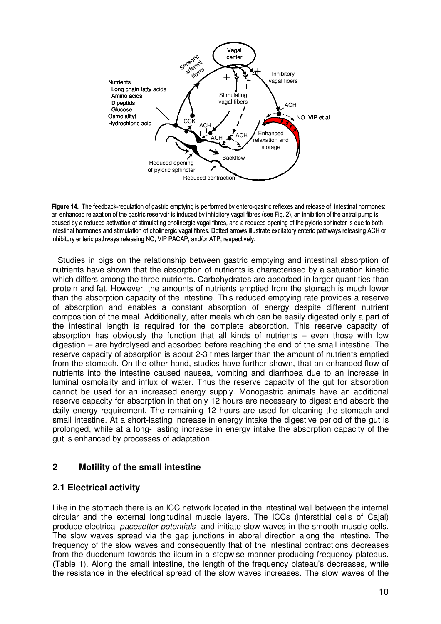

Figure 14. The feedback-regulation of gastric emptying is performed by entero-gastric reflexes and release of intestinal hormones: an enhanced relaxation of the gastric reservoir is induced by inhibitory vagal fibres (see Fig. 2), an inhibition of the antral pump is caused by a reduced activation of stimulating cholinergic vagal fibres, and a reduced opening of the pyloric sphincter is due to both intestinal hormones and stimulation of cholinergic vagal fibres. Dotted arrows illustrate excitatory enteric pathways releasing ACH or inhibitory enteric pathways releasing NO, VIP PACAP, and/or ATP, respectively.

Studies in pigs on the relationship between gastric emptying and intestinal absorption of nutrients have shown that the absorption of nutrients is characterised by a saturation kinetic which differs among the three nutrients. Carbohydrates are absorbed in larger quantities than protein and fat. However, the amounts of nutrients emptied from the stomach is much lower than the absorption capacity of the intestine. This reduced emptying rate provides a reserve of absorption and enables a constant absorption of energy despite different nutrient composition of the meal. Additionally, after meals which can be easily digested only a part of the intestinal length is required for the complete absorption. This reserve capacity of absorption has obviously the function that all kinds of nutrients  $-$  even those with low digestion – are hydrolysed and absorbed before reaching the end of the small intestine. The reserve capacity of absorption is about 2-3 times larger than the amount of nutrients emptied from the stomach. On the other hand, studies have further shown, that an enhanced flow of nutrients into the intestine caused nausea, vomiting and diarrhoea due to an increase in luminal osmolality and influx of water. Thus the reserve capacity of the gut for absorption cannot be used for an increased energy supply. Monogastric animals have an additional reserve capacity for absorption in that only 12 hours are necessary to digest and absorb the daily energy requirement. The remaining 12 hours are used for cleaning the stomach and small intestine. At a short-lasting increase in energy intake the digestive period of the gut is prolonged, while at a long- lasting increase in energy intake the absorption capacity of the gut is enhanced by processes of adaptation.

# **2 Motility of the small intestine**

# **2.1 Electrical activity**

Like in the stomach there is an ICC network located in the intestinal wall between the internal circular and the external longitudinal muscle layers. The ICCs (interstitial cells of Cajal) produce electrical pacesetter potentials and initiate slow waves in the smooth muscle cells. The slow waves spread via the gap junctions in aboral direction along the intestine. The frequency of the slow waves and consequently that of the intestinal contractions decreases from the duodenum towards the ileum in a stepwise manner producing frequency plateaus. (Table 1). Along the small intestine, the length of the frequency plateau's decreases, while the resistance in the electrical spread of the slow waves increases. The slow waves of the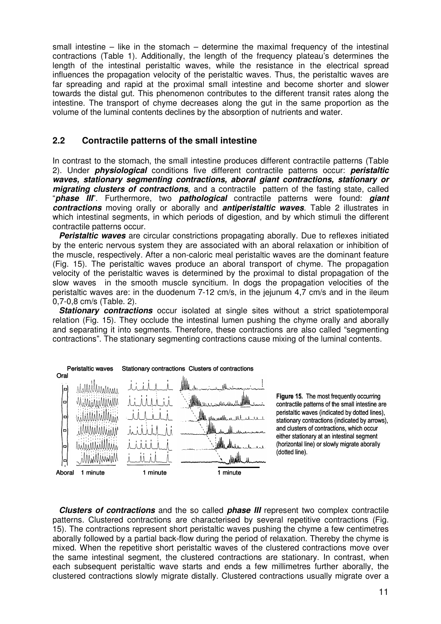small intestine – like in the stomach – determine the maximal frequency of the intestinal contractions (Table 1). Additionally, the length of the frequency plateau's determines the length of the intestinal peristaltic waves, while the resistance in the electrical spread influences the propagation velocity of the peristaltic waves. Thus, the peristaltic waves are far spreading and rapid at the proximal small intestine and become shorter and slower towards the distal gut. This phenomenon contributes to the different transit rates along the intestine. The transport of chyme decreases along the gut in the same proportion as the volume of the luminal contents declines by the absorption of nutrients and water.

# **2.2 Contractile patterns of the small intestine**

In contrast to the stomach, the small intestine produces different contractile patterns (Table 2). Under **physiological** conditions five different contractile patterns occur: **peristaltic waves, stationary segmenting contractions, aboral giant contractions, stationary or migrating clusters of contractions**, and a contractile pattern of the fasting state, called "**phase III**". Furthermore, two **pathological** contractile patterns were found: **giant contractions** moving orally or aborally and **antiperistaltic waves**. Table 2 illustrates in which intestinal segments, in which periods of digestion, and by which stimuli the different contractile patterns occur.

**Peristaltic waves** are circular constrictions propagating aborally. Due to reflexes initiated by the enteric nervous system they are associated with an aboral relaxation or inhibition of the muscle, respectively. After a non-caloric meal peristaltic waves are the dominant feature (Fig. 15). The peristaltic waves produce an aboral transport of chyme. The propagation velocity of the peristaltic waves is determined by the proximal to distal propagation of the slow waves in the smooth muscle syncitium. In dogs the propagation velocities of the peristaltic waves are: in the duodenum 7-12 cm/s, in the jejunum 4,7 cm/s and in the ileum 0,7-0,8 cm/s (Table. 2).

**Stationary contractions** occur isolated at single sites without a strict spatiotemporal relation (Fig. 15). They occlude the intestinal lumen pushing the chyme orally and aborally and separating it into segments. Therefore, these contractions are also called "segmenting contractions". The stationary segmenting contractions cause mixing of the luminal contents.



Figure 15. The most frequently occurring contractile patterns of the small intestine are peristaltic waves (indicated by dotted lines), stationary contractions (indicated by arrows), and clusters of contractions, which occur either stationary at an intestinal segment (horizontal line) or slowly migrate aborally (dotted line).

**Clusters of contractions** and the so called **phase III** represent two complex contractile patterns. Clustered contractions are characterised by several repetitive contractions (Fig. 15). The contractions represent short peristaltic waves pushing the chyme a few centimetres aborally followed by a partial back-flow during the period of relaxation. Thereby the chyme is mixed. When the repetitive short peristaltic waves of the clustered contractions move over the same intestinal segment, the clustered contractions are stationary. In contrast, when each subsequent peristaltic wave starts and ends a few millimetres further aborally, the clustered contractions slowly migrate distally. Clustered contractions usually migrate over a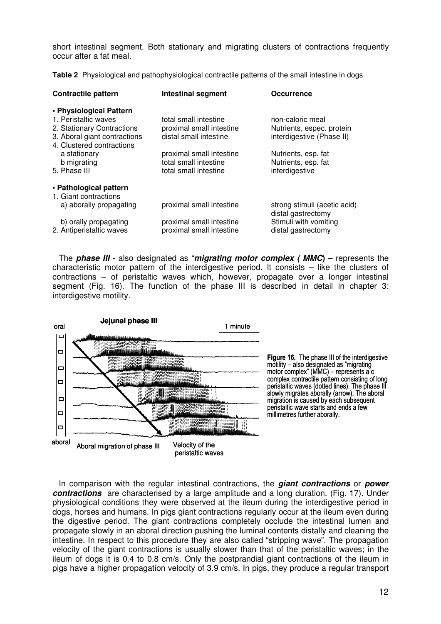short intestinal segment. Both stationary and migrating clusters of contractions frequently occur after a fat meal.

**Table 2** Physiological and pathophysiological contractile patterns of the small intestine in dogs

| <b>Contractile pattern</b>                                | <b>Intestinal segment</b>                         | <b>Occurrence</b>                                  |
|-----------------------------------------------------------|---------------------------------------------------|----------------------------------------------------|
| • Physiological Pattern                                   |                                                   |                                                    |
| 1. Peristaltic waves<br>2. Stationary Contractions        | total small intestine<br>proximal small intestine | non-caloric meal<br>Nutrients, espec. protein      |
| 3. Aboral giant contractions<br>4. Clustered contractions | distal small intestine                            | interdigestive (Phase II)                          |
| a stationary<br>b migrating                               | proximal small intestine<br>total small intestine | Nutrients, esp. fat<br>Nutrients, esp. fat         |
| 5. Phase III                                              | total small intestine                             | interdigestive                                     |
| • Pathological pattern                                    |                                                   |                                                    |
| 1. Giant contractions                                     |                                                   |                                                    |
| a) aborally propagating                                   | proximal small intestine                          | strong stimuli (acetic acid)<br>distal gastrectomy |
| b) orally propagating                                     | proximal small intestine                          | Stimuli with vomiting                              |
| 2. Antiperistaltic waves                                  | proximal small intestine                          | distal gastrectomy                                 |

The **phase III** - also designated as "**migrating motor complex ( MMC)** – represents the characteristic motor pattern of the interdigestive period. It consists – like the clusters of contractions – of peristaltic waves which, however, propagate over a longer intestinal segment (Fig. 16). The function of the phase III is described in detail in chapter 3: interdigestive motility.





In comparison with the regular intestinal contractions, the **giant contractions** or **power contractions** are characterised by a large amplitude and a long duration. (Fig. 17). Under physiological conditions they were observed at the ileum during the interdigestive period in dogs, horses and humans. In pigs giant contractions regularly occur at the ileum even during the digestive period. The giant contractions completely occlude the intestinal lumen and propagate slowly in an aboral direction pushing the luminal contents distally and cleaning the intestine. In respect to this procedure they are also called "stripping wave". The propagation velocity of the giant contractions is usually slower than that of the peristaltic waves; in the ileum of dogs it is 0.4 to 0.8 cm/s. Only the postprandial giant contractions of the ileum in pigs have a higher propagation velocity of 3.9 cm/s. In pigs, they produce a regular transport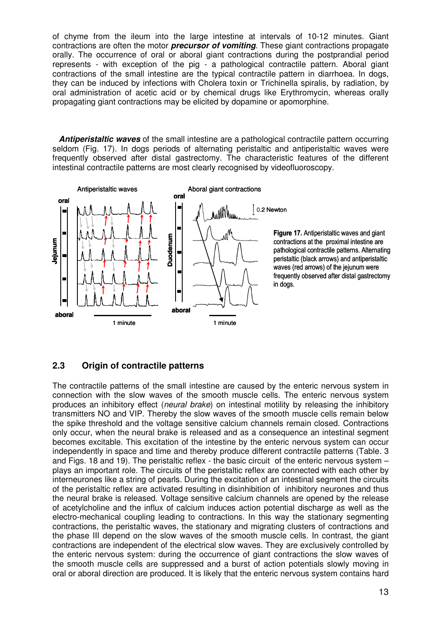of chyme from the ileum into the large intestine at intervals of 10-12 minutes. Giant contractions are often the motor **precursor of vomiting**. These giant contractions propagate orally. The occurrence of oral or aboral giant contractions during the postprandial period represents - with exception of the pig - a pathological contractile pattern. Aboral giant contractions of the small intestine are the typical contractile pattern in diarrhoea. In dogs, they can be induced by infections with Cholera toxin or Trichinella spiralis, by radiation, by oral administration of acetic acid or by chemical drugs like Erythromycin, whereas orally propagating giant contractions may be elicited by dopamine or apomorphine.

**Antiperistaltic waves** of the small intestine are a pathological contractile pattern occurring seldom (Fig. 17). In dogs periods of alternating peristaltic and antiperistaltic waves were frequently observed after distal gastrectomy. The characteristic features of the different intestinal contractile patterns are most clearly recognised by videofluoroscopy.



Figure 17. Antiperistaltic waves and giant contractions at the proximal intestine are pathological contractile patterns. Alternating peristaltic (black arrows) and antiperistaltic waves (red arrows) of the jejunum were frequently observed after distal gastrectomy

# **2.3 Origin of contractile patterns**

The contractile patterns of the small intestine are caused by the enteric nervous system in connection with the slow waves of the smooth muscle cells. The enteric nervous system produces an inhibitory effect (neural brake) on intestinal motility by releasing the inhibitory transmitters NO and VIP. Thereby the slow waves of the smooth muscle cells remain below the spike threshold and the voltage sensitive calcium channels remain closed. Contractions only occur, when the neural brake is released and as a consequence an intestinal segment becomes excitable. This excitation of the intestine by the enteric nervous system can occur independently in space and time and thereby produce different contractile patterns (Table. 3 and Figs. 18 and 19). The peristaltic reflex - the basic circuit of the enteric nervous system – plays an important role. The circuits of the peristaltic reflex are connected with each other by interneurones like a string of pearls. During the excitation of an intestinal segment the circuits of the peristaltic reflex are activated resulting in disinhibition of inhibitory neurones and thus the neural brake is released. Voltage sensitive calcium channels are opened by the release of acetylcholine and the influx of calcium induces action potential discharge as well as the electro-mechanical coupling leading to contractions. In this way the stationary segmenting contractions, the peristaltic waves, the stationary and migrating clusters of contractions and the phase III depend on the slow waves of the smooth muscle cells. In contrast, the giant contractions are independent of the electrical slow waves. They are exclusively controlled by the enteric nervous system: during the occurrence of giant contractions the slow waves of the smooth muscle cells are suppressed and a burst of action potentials slowly moving in oral or aboral direction are produced. It is likely that the enteric nervous system contains hard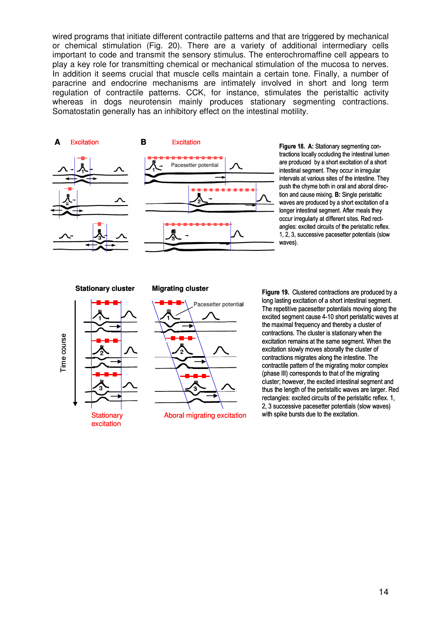wired programs that initiate different contractile patterns and that are triggered by mechanical or chemical stimulation (Fig. 20). There are a variety of additional intermediary cells important to code and transmit the sensory stimulus. The enterochromaffine cell appears to play a key role for transmitting chemical or mechanical stimulation of the mucosa to nerves. In addition it seems crucial that muscle cells maintain a certain tone. Finally, a number of paracrine and endocrine mechanisms are intimately involved in short and long term regulation of contractile patterns. CCK, for instance, stimulates the peristaltic activity whereas in dogs neurotensin mainly produces stationary segmenting contractions. Somatostatin generally has an inhibitory effect on the intestinal motility.





tractions locally occluding the intestinal lumen are produced by a short excitation of a short intestinal segment. They occur in irregular intervals at various sites of the intestine. They push the chyme both in oral and aboral direction and cause mixing. B: Single peristaltic waves are produced by a short excitation of a longer intestinal segment. After meals they occur irregularly at different sites. Red rectangles: excited circuits of the peristaltic reflex. 1, 2, 3, successive pacesetter potentials (slow waves).

### **Stationary cluster Migrating cluster**





Figure 19. Clustered contractions are produced by a long lasting excitation of a short intestinal segment. The repetitive pacesetter potentials moving along the excited segment cause 4-10 short peristaltic waves at the maximal frequency and thereby a cluster of contractions. The cluster is stationary when the excitation remains at the same segment. When the excitation slowly moves aborally the cluster of contractions migrates along the intestine. The contractile pattern of the migrating motor complex (phase III) corresponds to that of the migrating cluster; however, the excited intestinal segment and thus the length of the peristaltic waves are larger. Red rectangles: excited circuits of the peristaltic reflex. 1, 2, 3 successive pacesetter potentials (slow waves) with spike bursts due to the excitation.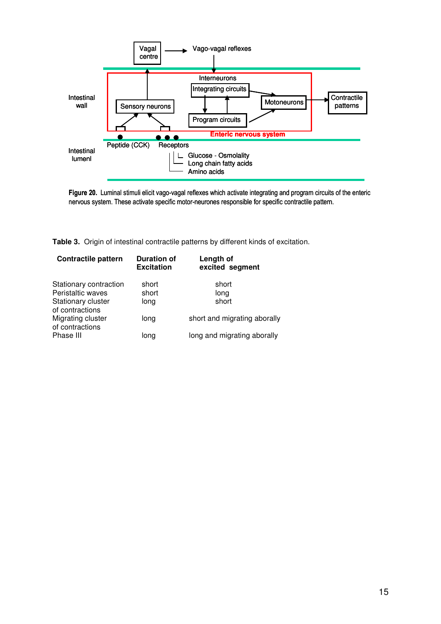

Figure 20. Luminal stimuli elicit vago-vagal reflexes which activate integrating and program circuits of the enteric nervous system. These activate specific motor-neurones responsible for specific contractile pattern.

**Table 3.** Origin of intestinal contractile patterns by different kinds of excitation.

| <b>Contractile pattern</b>                                                           | <b>Duration of</b><br><b>Excitation</b> | Length of<br>excited segment |
|--------------------------------------------------------------------------------------|-----------------------------------------|------------------------------|
| Stationary contraction<br>Peristaltic waves<br>Stationary cluster<br>of contractions | short<br>short<br>long                  | short<br>long<br>short       |
| Migrating cluster<br>of contractions                                                 | long                                    | short and migrating aborally |
| Phase III                                                                            | long                                    | long and migrating aborally  |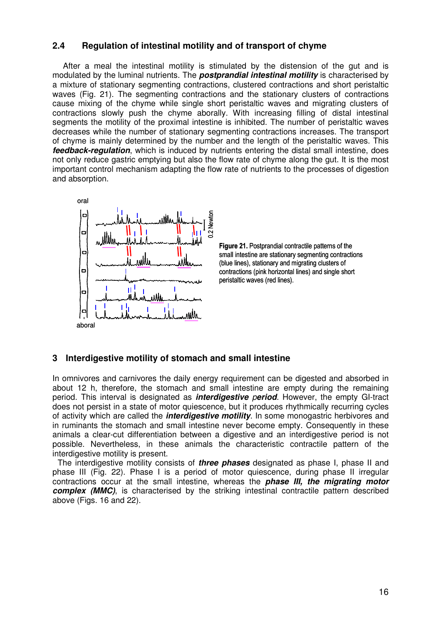# **2.4 Regulation of intestinal motility and of transport of chyme**

After a meal the intestinal motility is stimulated by the distension of the gut and is modulated by the luminal nutrients. The **postprandial intestinal motility** is characterised by a mixture of stationary segmenting contractions, clustered contractions and short peristaltic waves (Fig. 21). The segmenting contractions and the stationary clusters of contractions cause mixing of the chyme while single short peristaltic waves and migrating clusters of contractions slowly push the chyme aborally. With increasing filling of distal intestinal segments the motility of the proximal intestine is inhibited. The number of peristaltic waves decreases while the number of stationary segmenting contractions increases. The transport of chyme is mainly determined by the number and the length of the peristaltic waves. This **feedback-regulation**, which is induced by nutrients entering the distal small intestine, does not only reduce gastric emptying but also the flow rate of chyme along the gut. It is the most important control mechanism adapting the flow rate of nutrients to the processes of digestion and absorption.



Figure 21. Postprandial contractile patterns of the small intestine are stationary segmenting contractions (blue lines), stationary and migrating clusters of contractions (pink horizontal lines) and single short peristaltic waves (red lines).

# **3 Interdigestive motility of stomach and small intestine**

In omnivores and carnivores the daily energy requirement can be digested and absorbed in about 12 h, therefore, the stomach and small intestine are empty during the remaining period. This interval is designated as **interdigestive** p**eriod**. However, the empty GI-tract does not persist in a state of motor quiescence, but it produces rhythmically recurring cycles of activity which are called the **interdigestive motility**. In some monogastric herbivores and in ruminants the stomach and small intestine never become empty. Consequently in these animals a clear-cut differentiation between a digestive and an interdigestive period is not possible. Nevertheless, in these animals the characteristic contractile pattern of the interdigestive motility is present.

The interdigestive motility consists of **three phases** designated as phase I, phase II and phase III (Fig. 22). Phase I is a period of motor quiescence, during phase II irregular contractions occur at the small intestine, whereas the **phase III, the migrating motor complex (MMC)**, is characterised by the striking intestinal contractile pattern described above (Figs. 16 and 22).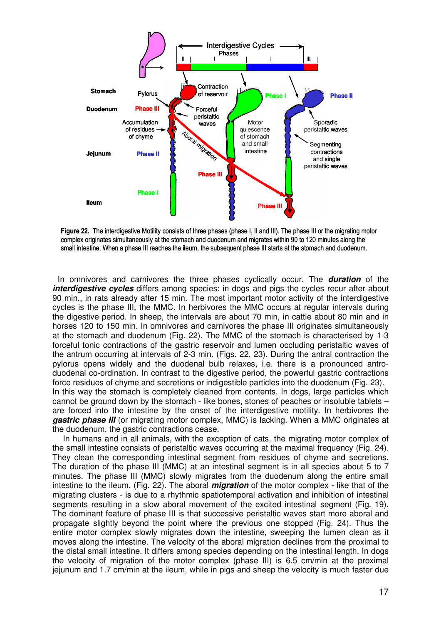

Figure 22. The interdigestive Motility consists of three phases (phase I, II and III). The phase III or the migrating motor complex originates simultaneously at the stomach and duodenum and migrates within 90 to 120 minutes along the small intestine. When a phase III reaches the ileum, the subsequent phase III starts at the stomach and duodenum.

In omnivores and carnivores the three phases cyclically occur. The **duration** of the *interdigestive cycles* differs among species: in dogs and pigs the cycles recur after about 90 min., in rats already after 15 min. The most important motor activity of the interdigestive cycles is the phase III, the MMC. In herbivores the MMC occurs at regular intervals during the digestive period. In sheep, the intervals are about 70 min, in cattle about 80 min and in horses 120 to 150 min. In omnivores and carnivores the phase III originates simultaneously at the stomach and duodenum (Fig. 22). The MMC of the stomach is characterised by 1-3 forceful tonic contractions of the gastric reservoir and lumen occluding peristaltic waves of the antrum occurring at intervals of 2-3 min. (Figs. 22, 23). During the antral contraction the pylorus opens widely and the duodenal bulb relaxes, i.e. there is a pronounced antroduodenal co-ordination. In contrast to the digestive period, the powerful gastric contractions force residues of chyme and secretions or indigestible particles into the duodenum (Fig. 23). In this way the stomach is completely cleaned from contents. In dogs, large particles which cannot be ground down by the stomach - like bones, stones of peaches or insoluble tablets – are forced into the intestine by the onset of the interdigestive motility. In herbivores the **gastric phase III** (or migrating motor complex, MMC) is lacking. When a MMC originates at the duodenum, the gastric contractions cease.

 In humans and in all animals, with the exception of cats, the migrating motor complex of the small intestine consists of peristaltic waves occurring at the maximal frequency (Fig. 24). They clean the corresponding intestinal segment from residues of chyme and secretions. The duration of the phase III (MMC) at an intestinal segment is in all species about 5 to 7 minutes. The phase III (MMC) slowly migrates from the duodenum along the entire small intestine to the ileum. (Fig. 22). The aboral **migration** of the motor complex - like that of the migrating clusters - is due to a rhythmic spatiotemporal activation and inhibition of intestinal segments resulting in a slow aboral movement of the excited intestinal segment (Fig. 19). The dominant feature of phase III is that successive peristaltic waves start more aboral and propagate slightly beyond the point where the previous one stopped (Fig. 24). Thus the entire motor complex slowly migrates down the intestine, sweeping the lumen clean as it moves along the intestine. The velocity of the aboral migration declines from the proximal to the distal small intestine. It differs among species depending on the intestinal length. In dogs the velocity of migration of the motor complex (phase III) is 6.5 cm/min at the proximal jejunum and 1.7 cm/min at the ileum, while in pigs and sheep the velocity is much faster due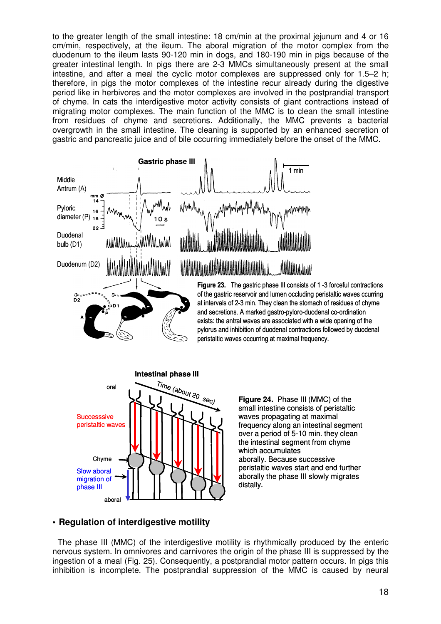to the greater length of the small intestine: 18 cm/min at the proximal jejunum and 4 or 16 cm/min, respectively, at the ileum. The aboral migration of the motor complex from the duodenum to the ileum lasts 90-120 min in dogs, and 180-190 min in pigs because of the greater intestinal length. In pigs there are 2-3 MMCs simultaneously present at the small intestine, and after a meal the cyclic motor complexes are suppressed only for 1.5–2 h; therefore, in pigs the motor complexes of the intestine recur already during the digestive period like in herbivores and the motor complexes are involved in the postprandial transport of chyme. In cats the interdigestive motor activity consists of giant contractions instead of migrating motor complexes. The main function of the MMC is to clean the small intestine from residues of chyme and secretions. Additionally, the MMC prevents a bacterial overgrowth in the small intestine. The cleaning is supported by an enhanced secretion of gastric and pancreatic juice and of bile occurring immediately before the onset of the MMC.





**Figure 24.** Phase III (MMC) of the small intestine consists of peristaltic waves propagating at maximal frequency along an intestinal segment over a period of 5-10 min. they clean the intestinal segment from chyme which accumulates aborally. Because successive peristaltic waves start and end further aborally the phase III slowly migrates distally.

# **• Regulation of interdigestive motility**

The phase III (MMC) of the interdigestive motility is rhythmically produced by the enteric nervous system. In omnivores and carnivores the origin of the phase III is suppressed by the ingestion of a meal (Fig. 25). Consequently, a postprandial motor pattern occurs. In pigs this inhibition is incomplete. The postprandial suppression of the MMC is caused by neural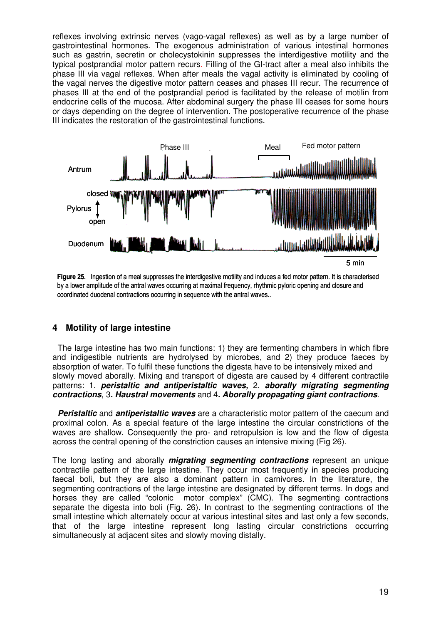reflexes involving extrinsic nerves (vago-vagal reflexes) as well as by a large number of gastrointestinal hormones. The exogenous administration of various intestinal hormones such as gastrin, secretin or cholecystokinin suppresses the interdigestive motility and the typical postprandial motor pattern recurs. Filling of the GI-tract after a meal also inhibits the phase III via vagal reflexes. When after meals the vagal activity is eliminated by cooling of the vagal nerves the digestive motor pattern ceases and phases III recur. The recurrence of phases III at the end of the postprandial period is facilitated by the release of motilin from endocrine cells of the mucosa. After abdominal surgery the phase III ceases for some hours or days depending on the degree of intervention. The postoperative recurrence of the phase III indicates the restoration of the gastrointestinal functions.





# **4 Motility of large intestine**

The large intestine has two main functions: 1) they are fermenting chambers in which fibre and indigestible nutrients are hydrolysed by microbes, and 2) they produce faeces by absorption of water. To fulfil these functions the digesta have to be intensively mixed and slowly moved aborally. Mixing and transport of digesta are caused by 4 different contractile patterns: 1. **peristaltic and antiperistaltic waves,** 2. **aborally migrating segmenting contractions**, 3**. Haustral movements** and 4**. Aborally propagating giant contractions**.

**Peristaltic** and **antiperistaltic waves** are a characteristic motor pattern of the caecum and proximal colon. As a special feature of the large intestine the circular constrictions of the waves are shallow. Consequently the pro- and retropulsion is low and the flow of digesta across the central opening of the constriction causes an intensive mixing (Fig 26).

The long lasting and aborally **migrating segmenting contractions** represent an unique contractile pattern of the large intestine. They occur most frequently in species producing faecal boli, but they are also a dominant pattern in carnivores. In the literature, the segmenting contractions of the large intestine are designated by different terms. In dogs and horses they are called "colonic motor complex" (CMC). The segmenting contractions separate the digesta into boli (Fig. 26). In contrast to the segmenting contractions of the small intestine which alternately occur at various intestinal sites and last only a few seconds, that of the large intestine represent long lasting circular constrictions occurring simultaneously at adjacent sites and slowly moving distally.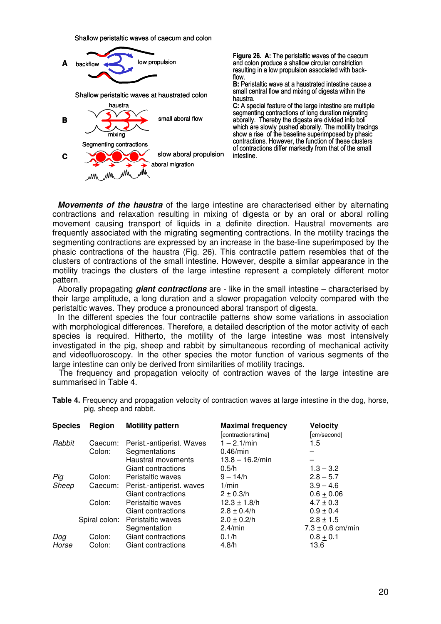Shallow peristaltic waves of caecum and colon



Figure 26. A: The peristaltic waves of the caecum and colon produce a shallow circular constriction resulting in a low propulsion associated with backflow.

B: Peristaltic wave at a haustrated intestine cause a small central flow and mixing of digesta within the haustra.

C: A special feature of the large intestine are multiple segmenting contractions of long duration migrating aborally. Thereby the digesta are divided into boli which are slowly pushed aborally. The motility tracings show a rise of the baseline superimposed by phasic contractions. However, the function of these clusters of contractions differ markedly from that of the small intestine.

**Movements of the haustra** of the large intestine are characterised either by alternating contractions and relaxation resulting in mixing of digesta or by an oral or aboral rolling movement causing transport of liquids in a definite direction. Haustral movements are frequently associated with the migrating segmenting contractions. In the motility tracings the segmenting contractions are expressed by an increase in the base-line superimposed by the phasic contractions of the haustra (Fig. 26). This contractile pattern resembles that of the clusters of contractions of the small intestine. However, despite a similar appearance in the motility tracings the clusters of the large intestine represent a completely different motor pattern.

Aborally propagating **giant contractions** are - like in the small intestine – characterised by their large amplitude, a long duration and a slower propagation velocity compared with the peristaltic waves. They produce a pronounced aboral transport of digesta.

In the different species the four contractile patterns show some variations in association with morphological differences. Therefore, a detailed description of the motor activity of each species is required. Hitherto, the motility of the large intestine was most intensively investigated in the pig, sheep and rabbit by simultaneous recording of mechanical activity and videofluoroscopy. In the other species the motor function of various segments of the large intestine can only be derived from similarities of motility tracings.

The frequency and propagation velocity of contraction waves of the large intestine are summarised in Table 4.

| <b>Species</b> | <b>Region</b> | <b>Motility pattern</b>           | <b>Maximal frequency</b> | <b>Velocity</b> |
|----------------|---------------|-----------------------------------|--------------------------|-----------------|
|                |               |                                   | [contractions/time]      | [cm/second]     |
| Rabbit         |               | Caecum: Perist.-antiperist. Waves | $1 - 2.1$ /min           | 1.5             |
|                | Colon:        | Segmentations                     | $0.46$ /min              |                 |
|                |               | Haustral movements                | $13.8 - 16.2$ /min       |                 |
|                |               | Giant contractions                | 0.5/h                    | $1.3 - 3.2$     |
| - -            |               |                                   | _ _ _ _                  |                 |

**Table 4.** Frequency and propagation velocity of contraction waves at large intestine in the dog, horse, pig, sheep and rabbit.

|       |        | Giant contractions                | 0.5/h            | $1.3 - 3.2$          |
|-------|--------|-----------------------------------|------------------|----------------------|
| Pig   | Colon: | Peristaltic waves                 | $9 - 14/h$       | $2.8 - 5.7$          |
| Sheep |        | Caecum: Perist.-antiperist. waves | 1/min            | $3.9 - 4.6$          |
|       |        | Giant contractions                | $2 \pm 0.3/h$    | $0.6 + 0.06$         |
|       | Colon: | Peristaltic waves                 | $12.3 \pm 1.8/h$ | $4.7 \pm 0.3$        |
|       |        | Giant contractions                | $2.8 \pm 0.4/h$  | $0.9 \pm 0.4$        |
|       |        | Spiral colon: Peristaltic waves   | $2.0 \pm 0.2/h$  | $2.8 \pm 1.5$        |
|       |        | Segmentation                      | $2.4$ /min       | $7.3 \pm 0.6$ cm/min |
| Dog   | Colon: | Giant contractions                | 0.1/h            | $0.8 + 0.1$          |
| Horse | Colon: | Giant contractions                | 4.8/h            | 13.6                 |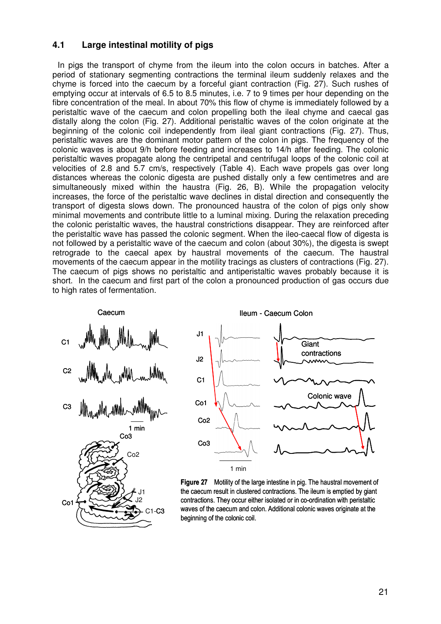# **4.1 Large intestinal motility of pigs**

In pigs the transport of chyme from the ileum into the colon occurs in batches. After a period of stationary segmenting contractions the terminal ileum suddenly relaxes and the chyme is forced into the caecum by a forceful giant contraction (Fig. 27). Such rushes of emptying occur at intervals of 6.5 to 8.5 minutes, i.e. 7 to 9 times per hour depending on the fibre concentration of the meal. In about 70% this flow of chyme is immediately followed by a peristaltic wave of the caecum and colon propelling both the ileal chyme and caecal gas distally along the colon (Fig. 27). Additional peristaltic waves of the colon originate at the beginning of the colonic coil independently from ileal giant contractions (Fig. 27). Thus, peristaltic waves are the dominant motor pattern of the colon in pigs. The frequency of the colonic waves is about 9/h before feeding and increases to 14/h after feeding. The colonic peristaltic waves propagate along the centripetal and centrifugal loops of the colonic coil at velocities of 2.8 and 5.7 cm/s, respectively (Table 4). Each wave propels gas over long distances whereas the colonic digesta are pushed distally only a few centimetres and are simultaneously mixed within the haustra (Fig. 26, B). While the propagation velocity increases, the force of the peristaltic wave declines in distal direction and consequently the transport of digesta slows down. The pronounced haustra of the colon of pigs only show minimal movements and contribute little to a luminal mixing. During the relaxation preceding the colonic peristaltic waves, the haustral constrictions disappear. They are reinforced after the peristaltic wave has passed the colonic segment. When the ileo-caecal flow of digesta is not followed by a peristaltic wave of the caecum and colon (about 30%), the digesta is swept retrograde to the caecal apex by haustral movements of the caecum. The haustral movements of the caecum appear in the motility tracings as clusters of contractions (Fig. 27). The caecum of pigs shows no peristaltic and antiperistaltic waves probably because it is short. In the caecum and first part of the colon a pronounced production of gas occurs due to high rates of fermentation.





Figure 27 Motility of the large intestine in pig. The haustral movement of the caecum result in clustered contractions. The ileum is emptied by giant contractions. They occur either isolated or in co-ordination with peristaltic waves of the caecum and colon. Additional colonic waves originate at the beginning of the colonic coil.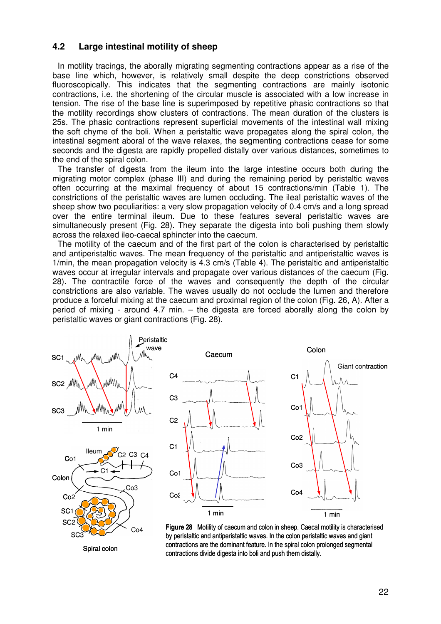# **4.2 Large intestinal motility of sheep**

In motility tracings, the aborally migrating segmenting contractions appear as a rise of the base line which, however, is relatively small despite the deep constrictions observed fluoroscopically. This indicates that the segmenting contractions are mainly isotonic contractions, i.e. the shortening of the circular muscle is associated with a low increase in tension. The rise of the base line is superimposed by repetitive phasic contractions so that the motility recordings show clusters of contractions. The mean duration of the clusters is 25s. The phasic contractions represent superficial movements of the intestinal wall mixing the soft chyme of the boli. When a peristaltic wave propagates along the spiral colon, the intestinal segment aboral of the wave relaxes, the segmenting contractions cease for some seconds and the digesta are rapidly propelled distally over various distances, sometimes to the end of the spiral colon.

The transfer of digesta from the ileum into the large intestine occurs both during the migrating motor complex (phase III) and during the remaining period by peristaltic waves often occurring at the maximal frequency of about 15 contractions/min (Table 1). The constrictions of the peristaltic waves are lumen occluding. The ileal peristaltic waves of the sheep show two peculiarities: a very slow propagation velocity of 0.4 cm/s and a long spread over the entire terminal ileum. Due to these features several peristaltic waves are simultaneously present (Fig. 28). They separate the digesta into boli pushing them slowly across the relaxed ileo-caecal sphincter into the caecum.

The motility of the caecum and of the first part of the colon is characterised by peristaltic and antiperistaltic waves. The mean frequency of the peristaltic and antiperistaltic waves is 1/min, the mean propagation velocity is 4.3 cm/s (Table 4). The peristaltic and antiperistaltic waves occur at irregular intervals and propagate over various distances of the caecum (Fig. 28). The contractile force of the waves and consequently the depth of the circular constrictions are also variable. The waves usually do not occlude the lumen and therefore produce a forceful mixing at the caecum and proximal region of the colon (Fig. 26, A). After a period of mixing - around 4.7 min. – the digesta are forced aborally along the colon by peristaltic waves or giant contractions (Fig. 28).



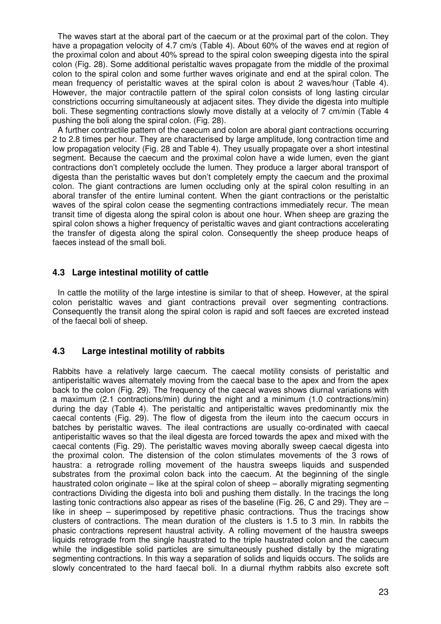The waves start at the aboral part of the caecum or at the proximal part of the colon. They have a propagation velocity of 4.7 cm/s (Table 4). About 60% of the waves end at region of the proximal colon and about 40% spread to the spiral colon sweeping digesta into the spiral colon (Fig. 28). Some additional peristaltic waves propagate from the middle of the proximal colon to the spiral colon and some further waves originate and end at the spiral colon. The mean frequency of peristaltic waves at the spiral colon is about 2 waves/hour (Table 4). However, the major contractile pattern of the spiral colon consists of long lasting circular constrictions occurring simultaneously at adjacent sites. They divide the digesta into multiple boli. These segmenting contractions slowly move distally at a velocity of 7 cm/min (Table 4 pushing the boli along the spiral colon. (Fig. 28).

A further contractile pattern of the caecum and colon are aboral giant contractions occurring 2 to 2.8 times per hour. They are characterised by large amplitude, long contraction time and low propagation velocity (Fig. 28 and Table 4). They usually propagate over a short intestinal segment. Because the caecum and the proximal colon have a wide lumen, even the giant contractions don't completely occlude the lumen. They produce a larger aboral transport of digesta than the peristaltic waves but don't completely empty the caecum and the proximal colon. The giant contractions are lumen occluding only at the spiral colon resulting in an aboral transfer of the entire luminal content. When the giant contractions or the peristaltic waves of the spiral colon cease the segmenting contractions immediately recur. The mean transit time of digesta along the spiral colon is about one hour. When sheep are grazing the spiral colon shows a higher frequency of peristaltic waves and giant contractions accelerating the transfer of digesta along the spiral colon. Consequently the sheep produce heaps of faeces instead of the small boli.

# **4.3 Large intestinal motility of cattle**

In cattle the motility of the large intestine is similar to that of sheep. However, at the spiral colon peristaltic waves and giant contractions prevail over segmenting contractions. Consequently the transit along the spiral colon is rapid and soft faeces are excreted instead of the faecal boli of sheep.

# **4.3 Large intestinal motility of rabbits**

Rabbits have a relatively large caecum. The caecal motility consists of peristaltic and antiperistaltic waves alternately moving from the caecal base to the apex and from the apex back to the colon (Fig. 29). The frequency of the caecal waves shows diurnal variations with a maximum (2.1 contractions/min) during the night and a minimum (1.0 contractions/min) during the day (Table 4). The peristaltic and antiperistaltic waves predominantly mix the caecal contents (Fig. 29). The flow of digesta from the ileum into the caecum occurs in batches by peristaltic waves. The ileal contractions are usually co-ordinated with caecal antiperistaltic waves so that the ileal digesta are forced towards the apex and mixed with the caecal contents (Fig. 29). The peristaltic waves moving aborally sweep caecal digesta into the proximal colon. The distension of the colon stimulates movements of the 3 rows of haustra: a retrograde rolling movement of the haustra sweeps liquids and suspended substrates from the proximal colon back into the caecum. At the beginning of the single haustrated colon originate – like at the spiral colon of sheep – aborally migrating segmenting contractions Dividing the digesta into boli and pushing them distally. In the tracings the long lasting tonic contractions also appear as rises of the baseline (Fig. 26, C and 29). They are – like in sheep – superimposed by repetitive phasic contractions. Thus the tracings show clusters of contractions. The mean duration of the clusters is 1.5 to 3 min. In rabbits the phasic contractions represent haustral activity. A rolling movement of the haustra sweeps liquids retrograde from the single haustrated to the triple haustrated colon and the caecum while the indigestible solid particles are simultaneously pushed distally by the migrating segmenting contractions. In this way a separation of solids and liquids occurs. The solids are slowly concentrated to the hard faecal boli. In a diurnal rhythm rabbits also excrete soft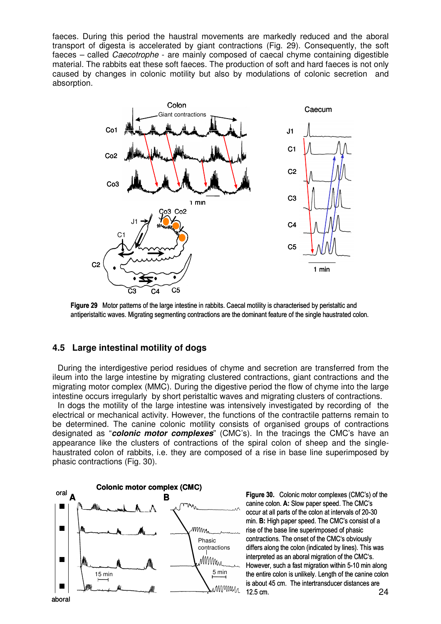faeces. During this period the haustral movements are markedly reduced and the aboral transport of digesta is accelerated by giant contractions (Fig. 29). Consequently, the soft faeces – called Caecotrophe - are mainly composed of caecal chyme containing digestible material. The rabbits eat these soft faeces. The production of soft and hard faeces is not only caused by changes in colonic motility but also by modulations of colonic secretion and absorption.



Figure 29 Motor patterns of the large intestine in rabbits. Caecal motility is characterised by peristaltic and antiperistaltic waves. Migrating segmenting contractions are the dominant feature of the single haustrated colon.

# **4.5 Large intestinal motility of dogs**

During the interdigestive period residues of chyme and secretion are transferred from the ileum into the large intestine by migrating clustered contractions, giant contractions and the migrating motor complex (MMC). During the digestive period the flow of chyme into the large intestine occurs irregularly by short peristaltic waves and migrating clusters of contractions.

In dogs the motility of the large intestine was intensively investigated by recording of the electrical or mechanical activity. However, the functions of the contractile patterns remain to be determined. The canine colonic motility consists of organised groups of contractions designated as "**colonic motor complexes**" (CMC's). In the tracings the CMC's have an appearance like the clusters of contractions of the spiral colon of sheep and the singlehaustrated colon of rabbits, i.e. they are composed of a rise in base line superimposed by phasic contractions (Fig. 30).



Figure 30. Colonic motor complexes (CMC's) of the canine colon. A: Slow paper speed. The CMC's occur at all parts of the colon at intervals of 20-30 min. B: High paper speed. The CMC's consist of a rise of the base line superimposed of phasic contractions. The onset of the CMC's obviously differs along the colon (indicated by lines). This was interpreted as an aboral migration of the CMC's. However, such a fast migration within 5-10 min along the entire colon is unlikely. Length of the canine colon is about 45 cm. The intertransducer distances are 12.5 cm.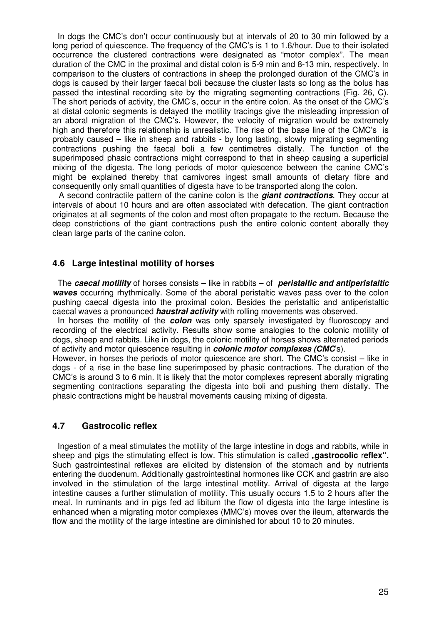In dogs the CMC's don't occur continuously but at intervals of 20 to 30 min followed by a long period of quiescence. The frequency of the CMC's is 1 to 1.6/hour. Due to their isolated occurrence the clustered contractions were designated as "motor complex". The mean duration of the CMC in the proximal and distal colon is 5-9 min and 8-13 min, respectively. In comparison to the clusters of contractions in sheep the prolonged duration of the CMC's in dogs is caused by their larger faecal boli because the cluster lasts so long as the bolus has passed the intestinal recording site by the migrating segmenting contractions (Fig. 26, C). The short periods of activity, the CMC's, occur in the entire colon. As the onset of the CMC's at distal colonic segments is delayed the motility tracings give the misleading impression of an aboral migration of the CMC's. However, the velocity of migration would be extremely high and therefore this relationship is unrealistic. The rise of the base line of the CMC's is probably caused – like in sheep and rabbits - by long lasting, slowly migrating segmenting contractions pushing the faecal boli a few centimetres distally. The function of the superimposed phasic contractions might correspond to that in sheep causing a superficial mixing of the digesta. The long periods of motor quiescence between the canine CMC's might be explained thereby that carnivores ingest small amounts of dietary fibre and consequently only small quantities of digesta have to be transported along the colon.

A second contractile pattern of the canine colon is the **giant contractions**. They occur at intervals of about 10 hours and are often associated with defecation. The giant contraction originates at all segments of the colon and most often propagate to the rectum. Because the deep constrictions of the giant contractions push the entire colonic content aborally they clean large parts of the canine colon.

# **4.6 Large intestinal motility of horses**

The **caecal motility** of horses consists – like in rabbits – of **peristaltic and antiperistaltic waves** occurring rhythmically. Some of the aboral peristaltic waves pass over to the colon pushing caecal digesta into the proximal colon. Besides the peristaltic and antiperistaltic caecal waves a pronounced **haustral activity** with rolling movements was observed.

In horses the motility of the **colon** was only sparsely investigated by fluoroscopy and recording of the electrical activity. Results show some analogies to the colonic motility of dogs, sheep and rabbits. Like in dogs, the colonic motility of horses shows alternated periods of activity and motor quiescence resulting in **colonic motor complexes (CMC**'s).

However, in horses the periods of motor quiescence are short. The CMC's consist – like in dogs - of a rise in the base line superimposed by phasic contractions. The duration of the CMC's is around 3 to 6 min. It is likely that the motor complexes represent aborally migrating segmenting contractions separating the digesta into boli and pushing them distally. The phasic contractions might be haustral movements causing mixing of digesta.

# **4.7 Gastrocolic reflex**

Ingestion of a meal stimulates the motility of the large intestine in dogs and rabbits, while in sheep and pigs the stimulating effect is low. This stimulation is called **"gastrocolic reflex".** Such gastrointestinal reflexes are elicited by distension of the stomach and by nutrients entering the duodenum. Additionally gastrointestinal hormones like CCK and gastrin are also involved in the stimulation of the large intestinal motility. Arrival of digesta at the large intestine causes a further stimulation of motility. This usually occurs 1.5 to 2 hours after the meal. In ruminants and in pigs fed ad libitum the flow of digesta into the large intestine is enhanced when a migrating motor complexes (MMC's) moves over the ileum, afterwards the flow and the motility of the large intestine are diminished for about 10 to 20 minutes.